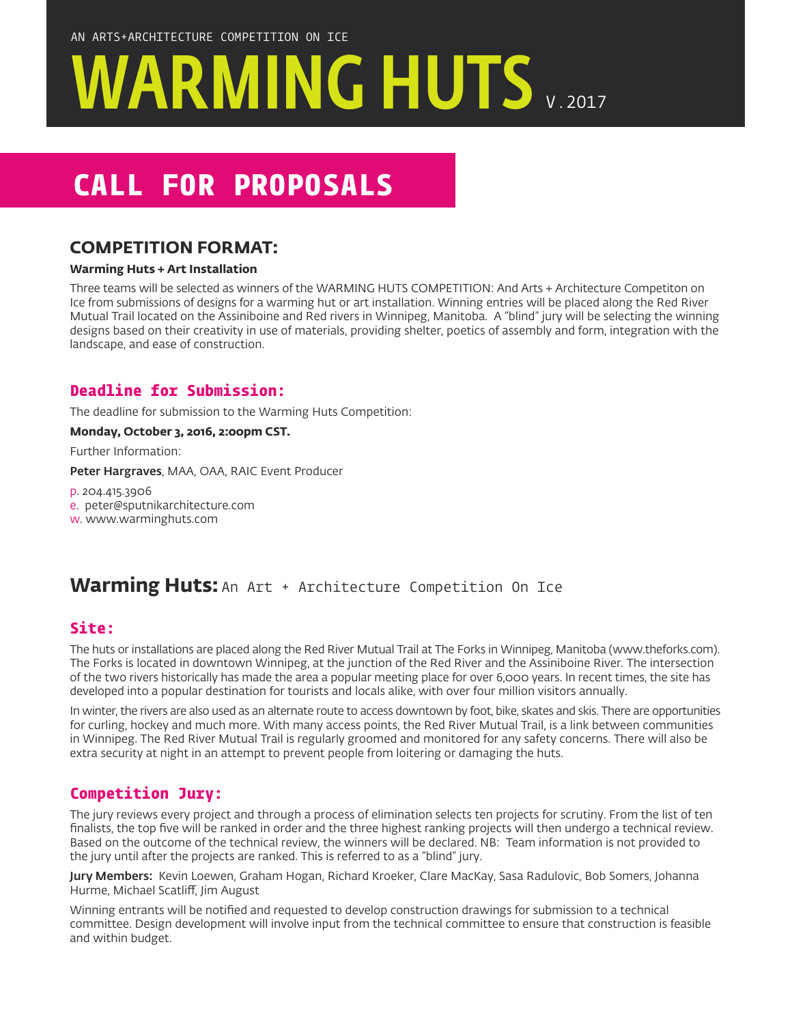# WARMING HUTS V.2017

## **CALL FOR PROPOSALS**

## **COMPETITION FORMAT:**

#### **Warming Huts + Art Installation**

Three teams will be selected as winners of the WARMING HUTS COMPETITION: And Arts + Architecture Competiton on Ice from submissions of designs for a warming hut or art installation. Winning entries will be placed along the Red River Mutual Trail located on the Assiniboine and Red rivers in Winnipeg, Manitoba. A "blind" jury will be selecting the winning designs based on their creativity in use of materials, providing shelter, poetics of assembly and form, integration with the landscape, and ease of construction.

## **Deadline for Submission:**

The deadline for submission to the Warming Huts Competition:

#### **Monday, October 3, 2016, 2:00pm CST.**

Further Information:

Peter Hargraves, MAA, OAA, RAIC Event Producer

p. 204.415.3906

- e. peter@sputnikarchitecture.com
- w. www.warminghuts.com

## Warming Huts: An Art + Architecture Competition On Ice

## **Site:**

The huts or installations are placed along the Red River Mutual Trail at The Forks in Winnipeg, Manitoba (www.theforks.com). The Forks is located in downtown Winnipeg, at the junction of the Red River and the Assiniboine River. The intersection of the two rivers historically has made the area a popular meeting place for over 6,000 years. In recent times, the site has developed into a popular destination for tourists and locals alike, with over four million visitors annually.

In winter, the rivers are also used as an alternate route to access downtown by foot, bike, skates and skis. There are opportunities for curling, hockey and much more. With many access points, the Red River Mutual Trail, is a link between communities in Winnipeg. The Red River Mutual Trail is regularly groomed and monitored for any safety concerns. There will also be extra security at night in an attempt to prevent people from loitering or damaging the huts.

## **Competition Jury:**

The jury reviews every project and through a process of elimination selects ten projects for scrutiny. From the list of ten finalists, the top five will be ranked in order and the three highest ranking projects will then undergo a technical review. Based on the outcome of the technical review, the winners will be declared. NB: Team information is not provided to the jury until after the projects are ranked. This is referred to as a "blind" jury.

Jury Members: Kevin Loewen, Graham Hogan, Richard Kroeker, Clare MacKay, Sasa Radulovic, Bob Somers, Johanna Hurme, Michael Scatliff, Jim August

Winning entrants will be notified and requested to develop construction drawings for submission to a technical committee. Design development will involve input from the technical committee to ensure that construction is feasible and within budget.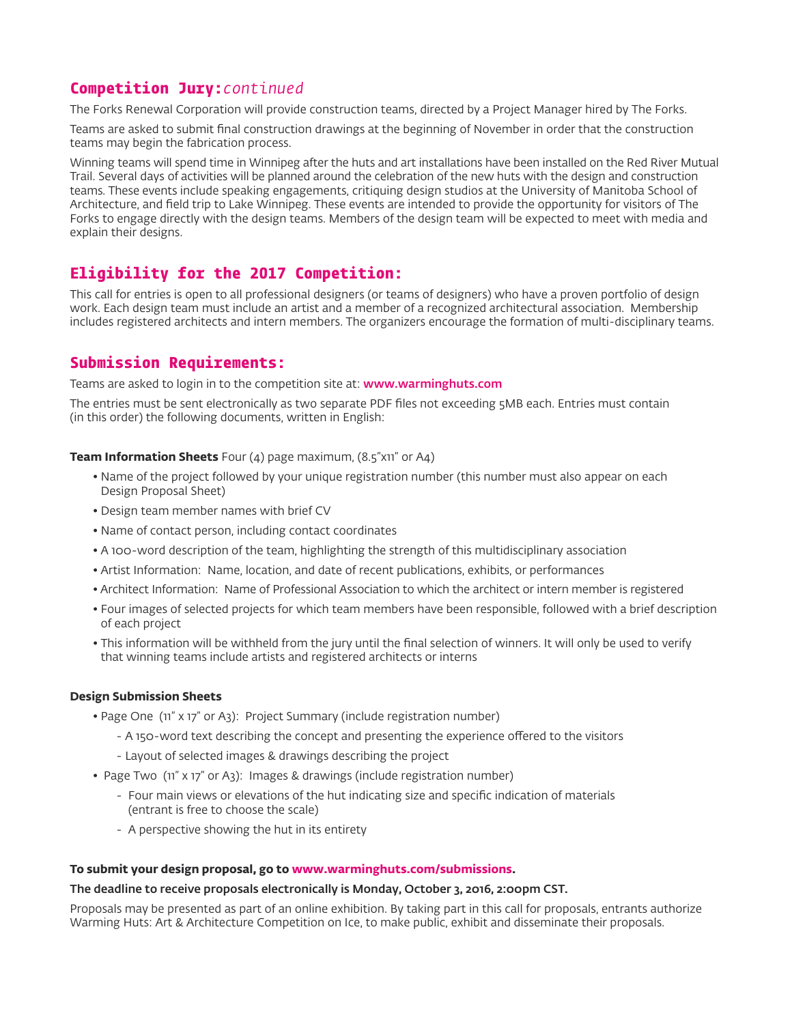## **Competition Jury:***continued*

The Forks Renewal Corporation will provide construction teams, directed by a Project Manager hired by The Forks.

Teams are asked to submit final construction drawings at the beginning of November in order that the construction teams may begin the fabrication process.

Winning teams will spend time in Winnipeg after the huts and art installations have been installed on the Red River Mutual Trail. Several days of activities will be planned around the celebration of the new huts with the design and construction teams. These events include speaking engagements, critiquing design studios at the University of Manitoba School of Architecture, and field trip to Lake Winnipeg. These events are intended to provide the opportunity for visitors of The Forks to engage directly with the design teams. Members of the design team will be expected to meet with media and explain their designs.

## **Eligibility for the 2017 Competition:**

This call for entries is open to all professional designers (or teams of designers) who have a proven portfolio of design work. Each design team must include an artist and a member of a recognized architectural association. Membership includes registered architects and intern members. The organizers encourage the formation of multi-disciplinary teams.

## **Submission Requirements:**

Teams are asked to login in to the competition site at: www.warminghuts.com

The entries must be sent electronically as two separate PDF files not exceeding 5MB each. Entries must contain (in this order) the following documents, written in English:

#### **Team Information Sheets** Four (4) page maximum, (8.5"x11" or A4)

- Name of the project followed by your unique registration number (this number must also appear on each Design Proposal Sheet)
- Design team member names with brief CV
- Name of contact person, including contact coordinates
- A 100-word description of the team, highlighting the strength of this multidisciplinary association
- Artist Information: Name, location, and date of recent publications, exhibits, or performances
- Architect Information: Name of Professional Association to which the architect or intern member is registered
- Four images of selected projects for which team members have been responsible, followed with a brief description of each project
- This information will be withheld from the jury until the final selection of winners. It will only be used to verify that winning teams include artists and registered architects or interns

#### **Design Submission Sheets**

- Page One (11" x 17" or A3): Project Summary (include registration number)
	- A 150-word text describing the concept and presenting the experience offered to the visitors
	- Layout of selected images & drawings describing the project
- Page Two (11" x 17" or A3): Images & drawings (include registration number)
	- Four main views or elevations of the hut indicating size and specific indication of materials (entrant is free to choose the scale)
	- A perspective showing the hut in its entirety

#### **To submit your design proposal, go to www.warminghuts.com/submissions.**

#### The deadline to receive proposals electronically is Monday, October 3, 2016, 2:00pm CST.

Proposals may be presented as part of an online exhibition. By taking part in this call for proposals, entrants authorize Warming Huts: Art & Architecture Competition on Ice, to make public, exhibit and disseminate their proposals.